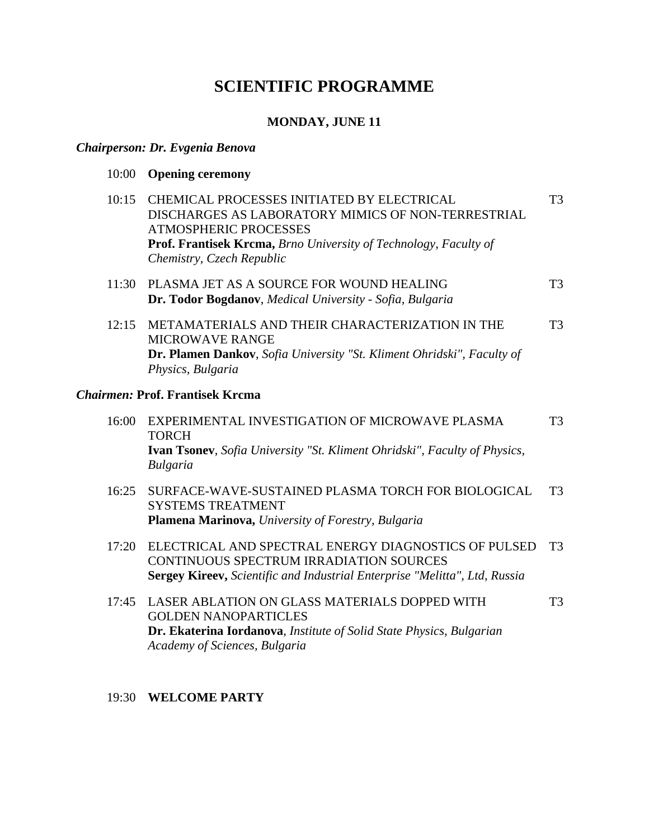# **SCIENTIFIC PROGRAMME**

### **MONDAY, JUNE 11**

#### *Chairperson: Dr. Evgenia Benova*

|  | 10:00 Opening ceremony |
|--|------------------------|
|--|------------------------|

| 10:15 | CHEMICAL PROCESSES INITIATED BY ELECTRICAL                                     | T3  |
|-------|--------------------------------------------------------------------------------|-----|
|       | DISCHARGES AS LABORATORY MIMICS OF NON-TERRESTRIAL                             |     |
|       | <b>ATMOSPHERIC PROCESSES</b>                                                   |     |
|       | <b>Prof. Frantisek Krcma, Brno University of Technology, Faculty of</b>        |     |
|       | Chemistry, Czech Republic                                                      |     |
|       | 11:30 PLASMA JET AS A SOURCE FOR WOUND HEALING                                 | T3. |
|       | Dr. Todor Bogdanov, Medical University - Sofia, Bulgaria                       |     |
| 12:15 | METAMATERIALS AND THEIR CHARACTERIZATION IN THE                                | T3  |
|       | <b>MICROWAVE RANGE</b>                                                         |     |
|       | <b>Dr. Plamen Dankov</b> , Sofia University "St. Kliment Ohridski", Faculty of |     |
|       | Physics, Bulgaria                                                              |     |

#### *Chairmen:* **Prof. Frantisek Krcma**

| 16:00 | EXPERIMENTAL INVESTIGATION OF MICROWAVE PLASMA                                   | T3 |
|-------|----------------------------------------------------------------------------------|----|
|       | <b>TORCH</b>                                                                     |    |
|       | <b>Ivan Tsoney,</b> Sofia University "St. Kliment Ohridski", Faculty of Physics, |    |
|       | Bulgaria                                                                         |    |

- 16:25 SURFACE-WAVE-SUSTAINED PLASMA TORCH FOR BIOLOGICAL SYSTEMS TREATMENT **Plamena Marinova,** *University of Forestry, Bulgaria* T3
- 17:20 ELECTRICAL AND SPECTRAL ENERGY DIAGNOSTICS OF PULSED T3 CONTINUOUS SPECTRUM IRRADIATION SOURCES **Sergey Kireev,** *Scientific and Industrial Enterprise "Melitta", Ltd, Russia*
- 17:45 LASER ABLATION ON GLASS MATERIALS DOPPED WITH GOLDEN NANOPARTICLES **Dr. Ekaterina Iordanova**, *Institute of Solid State Physics, Bulgarian Academy of Sciences, Bulgaria* T3

#### 19:30 **WELCOME PARTY**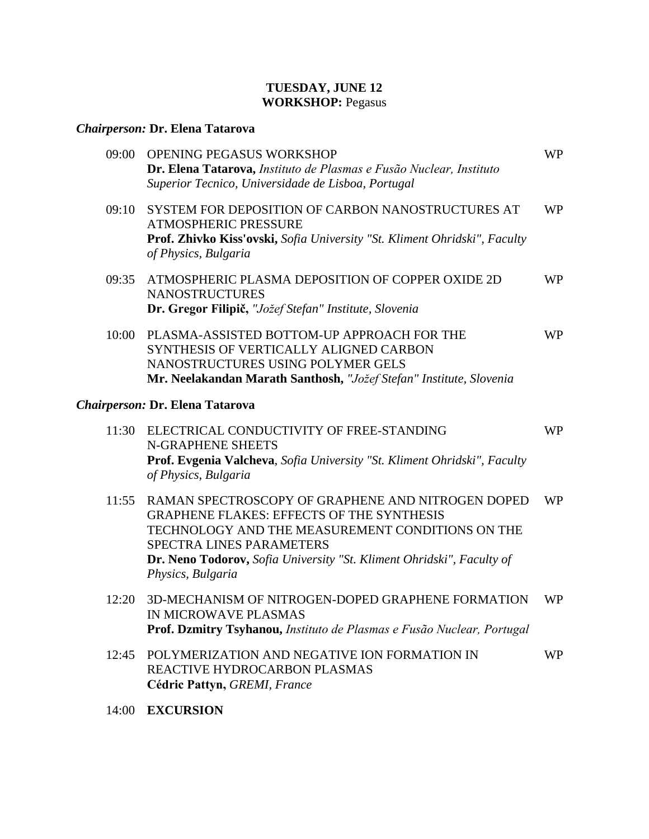#### **TUESDAY, JUNE 12 WORKSHOP:** Pegasus

## *Chairperson:* **Dr. Elena Tatarova**

| 09:00 | OPENING PEGASUS WORKSHOP<br>Dr. Elena Tatarova, Instituto de Plasmas e Fusão Nuclear, Instituto<br>Superior Tecnico, Universidade de Lisboa, Portugal                                                                                                                               | <b>WP</b> |
|-------|-------------------------------------------------------------------------------------------------------------------------------------------------------------------------------------------------------------------------------------------------------------------------------------|-----------|
| 09:10 | SYSTEM FOR DEPOSITION OF CARBON NANOSTRUCTURES AT<br><b>ATMOSPHERIC PRESSURE</b><br>Prof. Zhivko Kiss'ovski, Sofia University "St. Kliment Ohridski", Faculty<br>of Physics, Bulgaria                                                                                               | <b>WP</b> |
| 09:35 | ATMOSPHERIC PLASMA DEPOSITION OF COPPER OXIDE 2D<br><b>NANOSTRUCTURES</b><br>Dr. Gregor Filipič, "Jožef Stefan" Institute, Slovenia                                                                                                                                                 | <b>WP</b> |
| 10:00 | PLASMA-ASSISTED BOTTOM-UP APPROACH FOR THE<br>SYNTHESIS OF VERTICALLY ALIGNED CARBON<br>NANOSTRUCTURES USING POLYMER GELS<br>Mr. Neelakandan Marath Santhosh, "Jožef Stefan" Institute, Slovenia                                                                                    | <b>WP</b> |
|       | Chairperson: Dr. Elena Tatarova                                                                                                                                                                                                                                                     |           |
| 11:30 | ELECTRICAL CONDUCTIVITY OF FREE-STANDING<br>N-GRAPHENE SHEETS<br>Prof. Evgenia Valcheva, Sofia University "St. Kliment Ohridski", Faculty<br>of Physics, Bulgaria                                                                                                                   | <b>WP</b> |
| 11:55 | RAMAN SPECTROSCOPY OF GRAPHENE AND NITROGEN DOPED<br><b>GRAPHENE FLAKES: EFFECTS OF THE SYNTHESIS</b><br>TECHNOLOGY AND THE MEASUREMENT CONDITIONS ON THE<br>SPECTRA LINES PARAMETERS<br>Dr. Neno Todorov, Sofia University "St. Kliment Ohridski", Faculty of<br>Physics, Bulgaria | <b>WP</b> |
| 12:20 | 3D-MECHANISM OF NITROGEN-DOPED GRAPHENE FORMATION<br>IN MICROWAVE PLASMAS<br>Prof. Dzmitry Tsyhanou, Instituto de Plasmas e Fusão Nuclear, Portugal                                                                                                                                 | <b>WP</b> |
| 12:45 | POLYMERIZATION AND NEGATIVE ION FORMATION IN<br>REACTIVE HYDROCARBON PLASMAS<br>Cédric Pattyn, GREMI, France                                                                                                                                                                        | <b>WP</b> |
|       |                                                                                                                                                                                                                                                                                     |           |

14:00 **EXCURSION**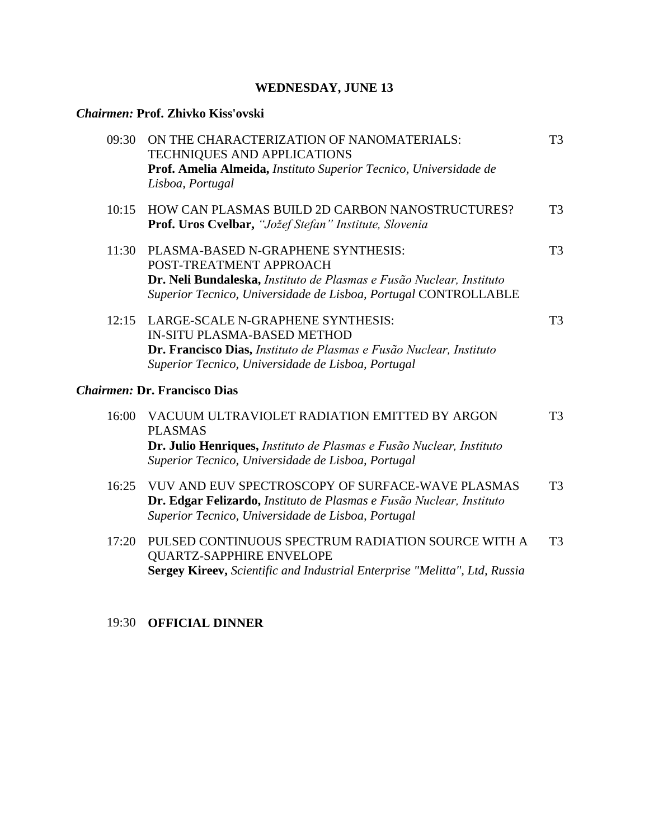## **WEDNESDAY, JUNE 13**

## *Chairmen:* **Prof. Zhivko Kiss'ovski**

| 09:30 | ON THE CHARACTERIZATION OF NANOMATERIALS:<br><b>TECHNIQUES AND APPLICATIONS</b><br>Prof. Amelia Almeida, Instituto Superior Tecnico, Universidade de<br>Lisboa, Portugal                                 | T <sub>3</sub> |
|-------|----------------------------------------------------------------------------------------------------------------------------------------------------------------------------------------------------------|----------------|
| 10:15 | <b>HOW CAN PLASMAS BUILD 2D CARBON NANOSTRUCTURES?</b><br>Prof. Uros Cvelbar, "Jožef Stefan" Institute, Slovenia                                                                                         | T <sub>3</sub> |
| 11:30 | PLASMA-BASED N-GRAPHENE SYNTHESIS:<br>POST-TREATMENT APPROACH<br>Dr. Neli Bundaleska, Instituto de Plasmas e Fusão Nuclear, Instituto<br>Superior Tecnico, Universidade de Lisboa, Portugal CONTROLLABLE | T <sub>3</sub> |
| 12:15 | LARGE-SCALE N-GRAPHENE SYNTHESIS:<br><b>IN-SITU PLASMA-BASED METHOD</b><br>Dr. Francisco Dias, Instituto de Plasmas e Fusão Nuclear, Instituto<br>Superior Tecnico, Universidade de Lisboa, Portugal     | T <sub>3</sub> |
|       | <b>Chairmen: Dr. Francisco Dias</b>                                                                                                                                                                      |                |
| 16:00 | VACUUM ULTRAVIOLET RADIATION EMITTED BY ARGON<br><b>PLASMAS</b><br>Dr. Julio Henriques, Instituto de Plasmas e Fusão Nuclear, Instituto<br>Superior Tecnico, Universidade de Lisboa, Portugal            | T <sub>3</sub> |
| 16:25 | VUV AND EUV SPECTROSCOPY OF SURFACE-WAVE PLASMAS<br>Dr. Edgar Felizardo, Instituto de Plasmas e Fusão Nuclear, Instituto<br>Superior Tecnico, Universidade de Lisboa, Portugal                           | T <sub>3</sub> |
| 17:20 | PULSED CONTINUOUS SPECTRUM RADIATION SOURCE WITH A<br><b>QUARTZ-SAPPHIRE ENVELOPE</b><br>Sergey Kireev, Scientific and Industrial Enterprise "Melitta", Ltd, Russia                                      | T <sub>3</sub> |
|       |                                                                                                                                                                                                          |                |

## 19:30 **OFFICIAL DINNER**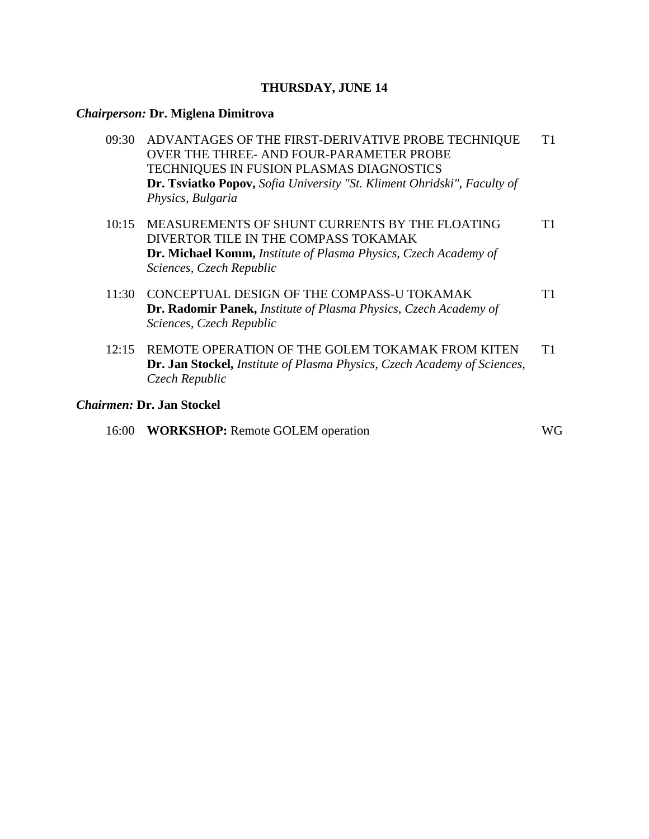#### **THURSDAY, JUNE 14**

## *Chairperson:* **Dr. Miglena Dimitrova**

| 09:30 | ADVANTAGES OF THE FIRST-DERIVATIVE PROBE TECHNIQUE<br>OVER THE THREE- AND FOUR-PARAMETER PROBE<br>TECHNIQUES IN FUSION PLASMAS DIAGNOSTICS<br>Dr. Tsviatko Popov, Sofia University "St. Kliment Ohridski", Faculty of<br>Physics, Bulgaria | Τ1 |
|-------|--------------------------------------------------------------------------------------------------------------------------------------------------------------------------------------------------------------------------------------------|----|
| 10:15 | MEASUREMENTS OF SHUNT CURRENTS BY THE FLOATING<br>DIVERTOR TILE IN THE COMPASS TOKAMAK<br><b>Dr. Michael Komm, Institute of Plasma Physics, Czech Academy of</b><br>Sciences, Czech Republic                                               |    |
| 11:30 | CONCEPTUAL DESIGN OF THE COMPASS-U TOKAMAK<br>Dr. Radomir Panek, Institute of Plasma Physics, Czech Academy of<br>Sciences, Czech Republic                                                                                                 | Τ1 |
|       | REMOTE OPERATION OF THE GOLEM TOKAMAK FROM KITEN                                                                                                                                                                                           |    |

**Dr. Jan Stockel,** *Institute of Plasma Physics, Czech Academy of Sciences, Czech Republic*

### *Chairmen:* **Dr. Jan Stockel**

| 16:00 <b>WORKSHOP:</b> Remote GOLEM operation | WG |
|-----------------------------------------------|----|
|                                               |    |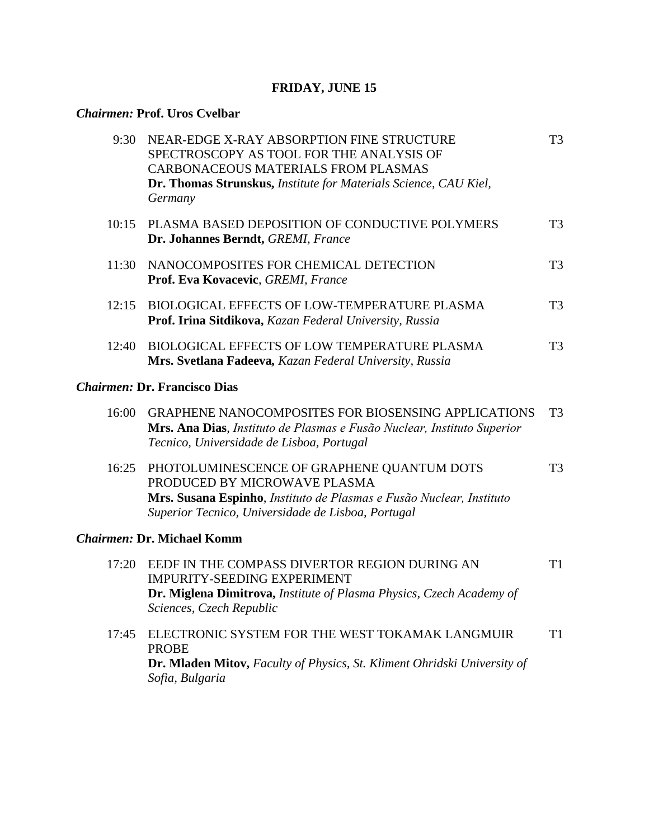## **FRIDAY, JUNE 15**

## *Chairmen:* **Prof. Uros Cvelbar**

| 9:30  | NEAR-EDGE X-RAY ABSORPTION FINE STRUCTURE<br>SPECTROSCOPY AS TOOL FOR THE ANALYSIS OF<br>CARBONACEOUS MATERIALS FROM PLASMAS<br>Dr. Thomas Strunskus, Institute for Materials Science, CAU Kiel,<br>Germany | T <sub>3</sub> |
|-------|-------------------------------------------------------------------------------------------------------------------------------------------------------------------------------------------------------------|----------------|
| 10:15 | PLASMA BASED DEPOSITION OF CONDUCTIVE POLYMERS<br>Dr. Johannes Berndt, GREMI, France                                                                                                                        | T <sub>3</sub> |
| 11:30 | NANOCOMPOSITES FOR CHEMICAL DETECTION<br>Prof. Eva Kovacevic, GREMI, France                                                                                                                                 | T <sub>3</sub> |
| 12:15 | BIOLOGICAL EFFECTS OF LOW-TEMPERATURE PLASMA<br>Prof. Irina Sitdikova, Kazan Federal University, Russia                                                                                                     | T <sub>3</sub> |
| 12:40 | <b>BIOLOGICAL EFFECTS OF LOW TEMPERATURE PLASMA</b><br>Mrs. Svetlana Fadeeva, Kazan Federal University, Russia                                                                                              | T <sub>3</sub> |
|       | <b>Chairmen: Dr. Francisco Dias</b>                                                                                                                                                                         |                |
| 16:00 | <b>GRAPHENE NANOCOMPOSITES FOR BIOSENSING APPLICATIONS</b><br>Mrs. Ana Dias, Instituto de Plasmas e Fusão Nuclear, Instituto Superior<br>Tecnico, Universidade de Lisboa, Portugal                          | T <sub>3</sub> |
| 16:25 | PHOTOLUMINESCENCE OF GRAPHENE QUANTUM DOTS<br>PRODUCED BY MICROWAVE PLASMA<br>Mrs. Susana Espinho, Instituto de Plasmas e Fusão Nuclear, Instituto<br>Superior Tecnico, Universidade de Lisboa, Portugal    | T <sub>3</sub> |
|       | <b>Chairmen: Dr. Michael Komm</b>                                                                                                                                                                           |                |
| 17:20 | EEDF IN THE COMPASS DIVERTOR REGION DURING AN<br>IMPURITY-SEEDING EXPERIMENT<br>Dr. Miglena Dimitrova, Institute of Plasma Physics, Czech Academy of<br>Sciences, Czech Republic                            | T1             |
| 17:45 | ELECTRONIC SYSTEM FOR THE WEST TOKAMAK LANGMUIR<br><b>PROBE</b><br>Dr. Mladen Mitov, Faculty of Physics, St. Kliment Ohridski University of<br>Sofia, Bulgaria                                              | T <sub>1</sub> |